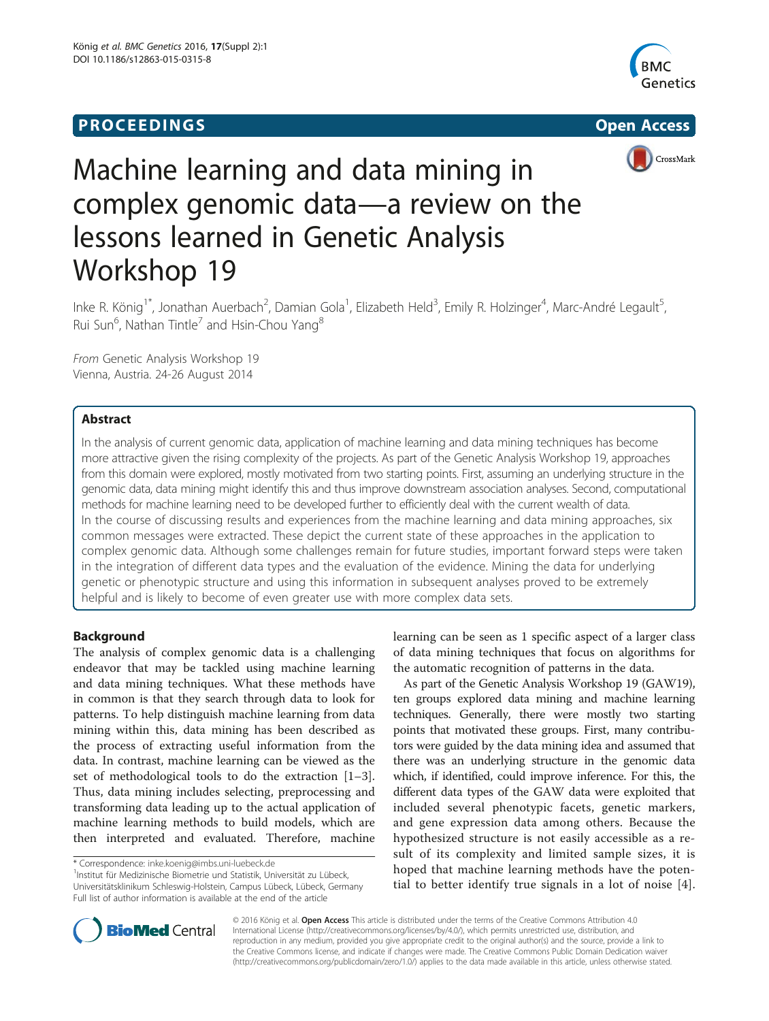# **PROCEEDINGS** Open Access **CONTRACTE IN A SET OF A SET OF A SET OF A SET OF A SET OF A SET OF A SET OF A SET OF A**





# Machine learning and data mining in complex genomic data—a review on the lessons learned in Genetic Analysis Workshop 19

Inke R. König<sup>1\*</sup>, Jonathan Auerbach<sup>2</sup>, Damian Gola<sup>1</sup>, Elizabeth Held<sup>3</sup>, Emily R. Holzinger<sup>4</sup>, Marc-André Legault<sup>5</sup> , Rui Sun $^6$ , Nathan Tintle $^7$  and Hsin-Chou Yang $^8$ 

From Genetic Analysis Workshop 19 Vienna, Austria. 24-26 August 2014

# Abstract

In the analysis of current genomic data, application of machine learning and data mining techniques has become more attractive given the rising complexity of the projects. As part of the Genetic Analysis Workshop 19, approaches from this domain were explored, mostly motivated from two starting points. First, assuming an underlying structure in the genomic data, data mining might identify this and thus improve downstream association analyses. Second, computational methods for machine learning need to be developed further to efficiently deal with the current wealth of data. In the course of discussing results and experiences from the machine learning and data mining approaches, six common messages were extracted. These depict the current state of these approaches in the application to complex genomic data. Although some challenges remain for future studies, important forward steps were taken in the integration of different data types and the evaluation of the evidence. Mining the data for underlying genetic or phenotypic structure and using this information in subsequent analyses proved to be extremely helpful and is likely to become of even greater use with more complex data sets.

# Background

The analysis of complex genomic data is a challenging endeavor that may be tackled using machine learning and data mining techniques. What these methods have in common is that they search through data to look for patterns. To help distinguish machine learning from data mining within this, data mining has been described as the process of extracting useful information from the data. In contrast, machine learning can be viewed as the set of methodological tools to do the extraction [\[1](#page-6-0)–[3](#page-6-0)]. Thus, data mining includes selecting, preprocessing and transforming data leading up to the actual application of machine learning methods to build models, which are then interpreted and evaluated. Therefore, machine

<sup>1</sup>Institut für Medizinische Biometrie und Statistik, Universität zu Lübeck, Universitätsklinikum Schleswig-Holstein, Campus Lübeck, Lübeck, Germany Full list of author information is available at the end of the article

learning can be seen as 1 specific aspect of a larger class of data mining techniques that focus on algorithms for the automatic recognition of patterns in the data.

As part of the Genetic Analysis Workshop 19 (GAW19), ten groups explored data mining and machine learning techniques. Generally, there were mostly two starting points that motivated these groups. First, many contributors were guided by the data mining idea and assumed that there was an underlying structure in the genomic data which, if identified, could improve inference. For this, the different data types of the GAW data were exploited that included several phenotypic facets, genetic markers, and gene expression data among others. Because the hypothesized structure is not easily accessible as a result of its complexity and limited sample sizes, it is hoped that machine learning methods have the potential to better identify true signals in a lot of noise [[4](#page-6-0)].



© 2016 König et al. Open Access This article is distributed under the terms of the Creative Commons Attribution 4.0 International License [\(http://creativecommons.org/licenses/by/4.0/](http://creativecommons.org/licenses/by/4.0/)), which permits unrestricted use, distribution, and reproduction in any medium, provided you give appropriate credit to the original author(s) and the source, provide a link to the Creative Commons license, and indicate if changes were made. The Creative Commons Public Domain Dedication waiver [\(http://creativecommons.org/publicdomain/zero/1.0/](http://creativecommons.org/publicdomain/zero/1.0/)) applies to the data made available in this article, unless otherwise stated.

<sup>\*</sup> Correspondence: [inke.koenig@imbs.uni-luebeck.de](mailto:inke.koenig@imbs.uni-luebeck.de) <sup>1</sup>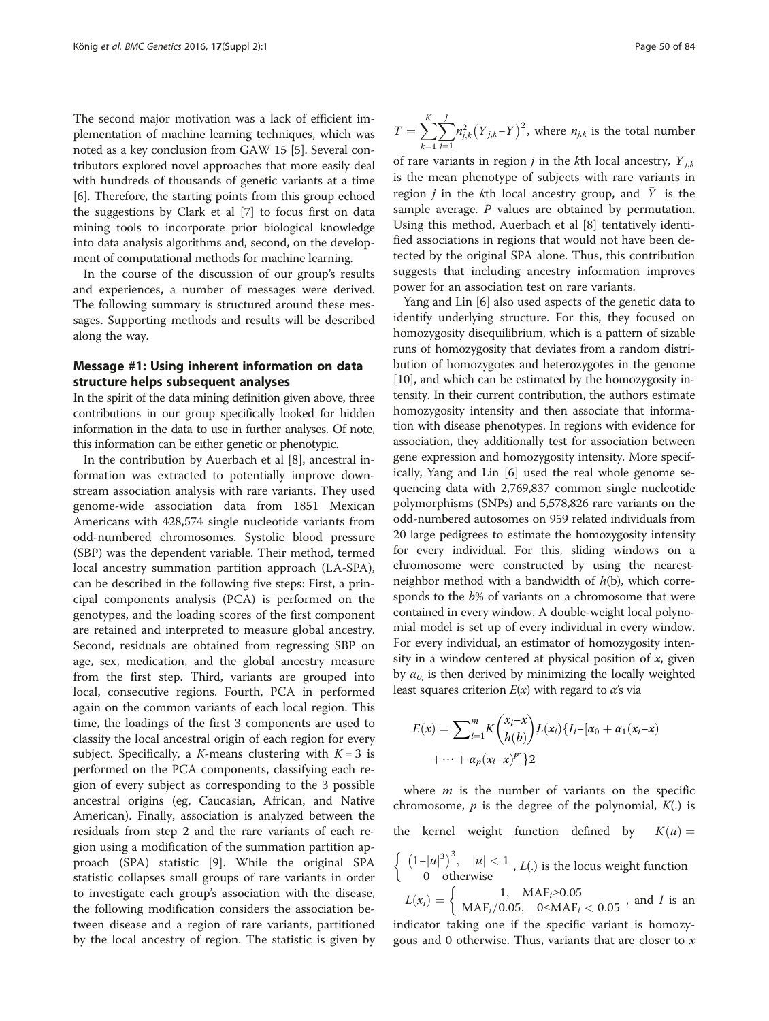The second major motivation was a lack of efficient implementation of machine learning techniques, which was noted as a key conclusion from GAW 15 [\[5\]](#page-6-0). Several contributors explored novel approaches that more easily deal with hundreds of thousands of genetic variants at a time [[6\]](#page-6-0). Therefore, the starting points from this group echoed the suggestions by Clark et al [\[7\]](#page-6-0) to focus first on data mining tools to incorporate prior biological knowledge into data analysis algorithms and, second, on the development of computational methods for machine learning.

In the course of the discussion of our group's results and experiences, a number of messages were derived. The following summary is structured around these messages. Supporting methods and results will be described along the way.

#### Message #1: Using inherent information on data structure helps subsequent analyses

In the spirit of the data mining definition given above, three contributions in our group specifically looked for hidden information in the data to use in further analyses. Of note, this information can be either genetic or phenotypic.

In the contribution by Auerbach et al [\[8](#page-6-0)], ancestral information was extracted to potentially improve downstream association analysis with rare variants. They used genome-wide association data from 1851 Mexican Americans with 428,574 single nucleotide variants from odd-numbered chromosomes. Systolic blood pressure (SBP) was the dependent variable. Their method, termed local ancestry summation partition approach (LA-SPA), can be described in the following five steps: First, a principal components analysis (PCA) is performed on the genotypes, and the loading scores of the first component are retained and interpreted to measure global ancestry. Second, residuals are obtained from regressing SBP on age, sex, medication, and the global ancestry measure from the first step. Third, variants are grouped into local, consecutive regions. Fourth, PCA in performed again on the common variants of each local region. This time, the loadings of the first 3 components are used to classify the local ancestral origin of each region for every subject. Specifically, a K-means clustering with  $K = 3$  is performed on the PCA components, classifying each region of every subject as corresponding to the 3 possible ancestral origins (eg, Caucasian, African, and Native American). Finally, association is analyzed between the residuals from step 2 and the rare variants of each region using a modification of the summation partition approach (SPA) statistic [[9\]](#page-6-0). While the original SPA statistic collapses small groups of rare variants in order to investigate each group's association with the disease, the following modification considers the association between disease and a region of rare variants, partitioned by the local ancestry of region. The statistic is given by

$$
T = \sum_{k=1}^{K} \sum_{j=1}^{J} n_{j,k}^{2} (\bar{Y}_{j,k} - \bar{Y})^{2}
$$
, where  $n_{j,k}$  is the total number

of rare variants in region *j* in the *k*th local ancestry,  $\overline{Y}_{j,k}$ is the mean phenotype of subjects with rare variants in region *i* in the kth local ancestry group, and  $\overline{Y}$  is the sample average.  $P$  values are obtained by permutation. Using this method, Auerbach et al [[8](#page-6-0)] tentatively identified associations in regions that would not have been detected by the original SPA alone. Thus, this contribution suggests that including ancestry information improves power for an association test on rare variants.

Yang and Lin [[6\]](#page-6-0) also used aspects of the genetic data to identify underlying structure. For this, they focused on homozygosity disequilibrium, which is a pattern of sizable runs of homozygosity that deviates from a random distribution of homozygotes and heterozygotes in the genome [[10](#page-6-0)], and which can be estimated by the homozygosity intensity. In their current contribution, the authors estimate homozygosity intensity and then associate that information with disease phenotypes. In regions with evidence for association, they additionally test for association between gene expression and homozygosity intensity. More specifically, Yang and Lin [[6\]](#page-6-0) used the real whole genome sequencing data with 2,769,837 common single nucleotide polymorphisms (SNPs) and 5,578,826 rare variants on the odd-numbered autosomes on 959 related individuals from 20 large pedigrees to estimate the homozygosity intensity for every individual. For this, sliding windows on a chromosome were constructed by using the nearestneighbor method with a bandwidth of  $h(b)$ , which corresponds to the b% of variants on a chromosome that were contained in every window. A double-weight local polynomial model is set up of every individual in every window. For every individual, an estimator of homozygosity intensity in a window centered at physical position of  $x$ , given by  $\alpha_0$ , is then derived by minimizing the locally weighted least squares criterion  $E(x)$  with regard to  $\alpha$ 's via

$$
E(x) = \sum_{i=1}^{m} K\left(\frac{x_i - x}{h(b)}\right) L(x_i) \{I_i - [\alpha_0 + \alpha_1(x_i - x) + \dots + \alpha_p(x_i - x)^p]\}
$$

where  $m$  is the number of variants on the specific chromosome,  $p$  is the degree of the polynomial,  $K(.)$  is the kernel weight function defined by  $K(u) =$  $\begin{cases} (1-|u|^3)^3, & |u| < 1 \\ 0 & \text{otherwise} \end{cases}$ , *L*(.) is the locus weight function

 $L(x_i) = \left\{ \begin{array}{cc} 1, & \mathrm{MAF}_i{\geq}0.05 \ \mathrm{MAF}_i/0.05, & 0{\leq}\mathrm{MAF}_i<0.05 \end{array} \right., \text{ and } I \text{ is an}$ 

indicator taking one if the specific variant is homozygous and 0 otherwise. Thus, variants that are closer to  $x$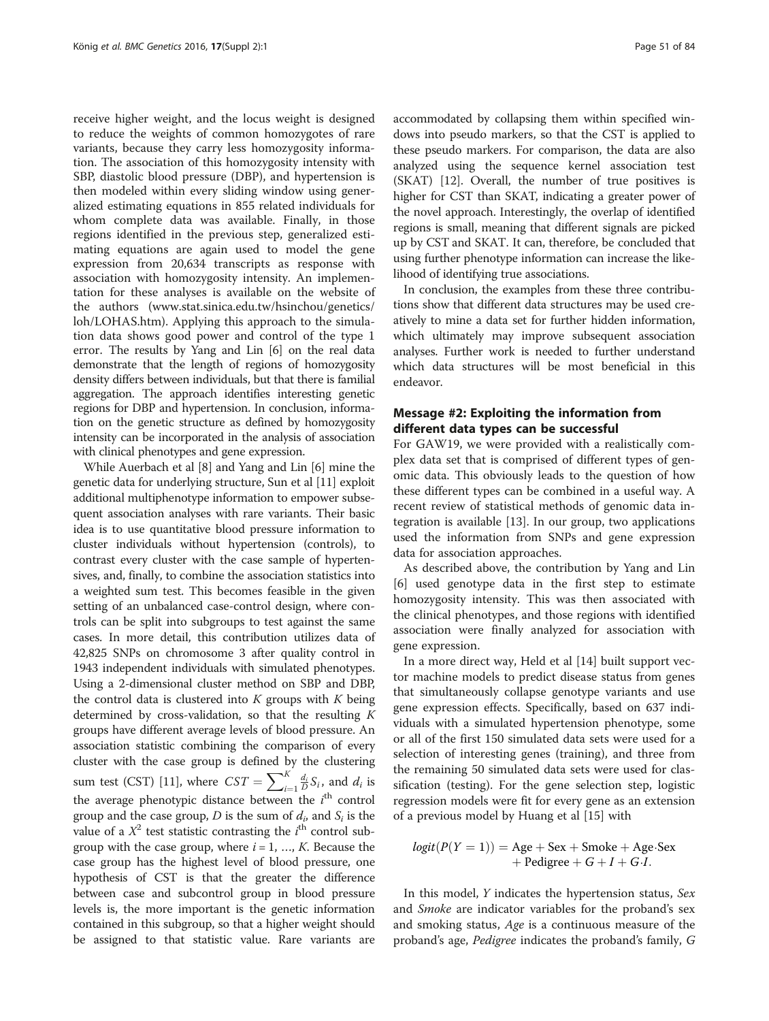receive higher weight, and the locus weight is designed to reduce the weights of common homozygotes of rare variants, because they carry less homozygosity information. The association of this homozygosity intensity with SBP, diastolic blood pressure (DBP), and hypertension is then modeled within every sliding window using generalized estimating equations in 855 related individuals for whom complete data was available. Finally, in those regions identified in the previous step, generalized estimating equations are again used to model the gene expression from 20,634 transcripts as response with association with homozygosity intensity. An implementation for these analyses is available on the website of the authors [\(www.stat.sinica.edu.tw/hsinchou/genetics/](http://www.stat.sinica.edu.tw/hsinchou/genetics/loh/LOHAS.htm) [loh/LOHAS.htm](http://www.stat.sinica.edu.tw/hsinchou/genetics/loh/LOHAS.htm)). Applying this approach to the simulation data shows good power and control of the type 1 error. The results by Yang and Lin [\[6](#page-6-0)] on the real data demonstrate that the length of regions of homozygosity density differs between individuals, but that there is familial aggregation. The approach identifies interesting genetic regions for DBP and hypertension. In conclusion, information on the genetic structure as defined by homozygosity intensity can be incorporated in the analysis of association with clinical phenotypes and gene expression.

While Auerbach et al [\[8](#page-6-0)] and Yang and Lin [\[6\]](#page-6-0) mine the genetic data for underlying structure, Sun et al [[11\]](#page-6-0) exploit additional multiphenotype information to empower subsequent association analyses with rare variants. Their basic idea is to use quantitative blood pressure information to cluster individuals without hypertension (controls), to contrast every cluster with the case sample of hypertensives, and, finally, to combine the association statistics into a weighted sum test. This becomes feasible in the given setting of an unbalanced case-control design, where controls can be split into subgroups to test against the same cases. In more detail, this contribution utilizes data of 42,825 SNPs on chromosome 3 after quality control in 1943 independent individuals with simulated phenotypes. Using a 2-dimensional cluster method on SBP and DBP, the control data is clustered into  $K$  groups with  $K$  being determined by cross-validation, so that the resulting  $K$ groups have different average levels of blood pressure. An association statistic combining the comparison of every cluster with the case group is defined by the clustering sum test (CST) [\[11\]](#page-6-0), where  $CST = \sum_{i=1}^{K} \frac{d_i}{D} S_i$ , and  $d_i$  is the average phenotypic distance between the  $i^{\text{th}}$  control group and the case group, D is the sum of  $d_i$  and  $S_i$  is the value of a  $X^2$  test statistic contrasting the  $i^{\text{th}}$  control subgroup with the case group, where  $i = 1, ..., K$ . Because the case group has the highest level of blood pressure, one hypothesis of CST is that the greater the difference between case and subcontrol group in blood pressure levels is, the more important is the genetic information contained in this subgroup, so that a higher weight should be assigned to that statistic value. Rare variants are accommodated by collapsing them within specified windows into pseudo markers, so that the CST is applied to these pseudo markers. For comparison, the data are also analyzed using the sequence kernel association test (SKAT) [\[12\]](#page-6-0). Overall, the number of true positives is higher for CST than SKAT, indicating a greater power of the novel approach. Interestingly, the overlap of identified regions is small, meaning that different signals are picked up by CST and SKAT. It can, therefore, be concluded that using further phenotype information can increase the likelihood of identifying true associations.

In conclusion, the examples from these three contributions show that different data structures may be used creatively to mine a data set for further hidden information, which ultimately may improve subsequent association analyses. Further work is needed to further understand which data structures will be most beneficial in this endeavor.

# Message #2: Exploiting the information from different data types can be successful

For GAW19, we were provided with a realistically complex data set that is comprised of different types of genomic data. This obviously leads to the question of how these different types can be combined in a useful way. A recent review of statistical methods of genomic data integration is available [[13\]](#page-6-0). In our group, two applications used the information from SNPs and gene expression data for association approaches.

As described above, the contribution by Yang and Lin [[6\]](#page-6-0) used genotype data in the first step to estimate homozygosity intensity. This was then associated with the clinical phenotypes, and those regions with identified association were finally analyzed for association with gene expression.

In a more direct way, Held et al [[14](#page-6-0)] built support vector machine models to predict disease status from genes that simultaneously collapse genotype variants and use gene expression effects. Specifically, based on 637 individuals with a simulated hypertension phenotype, some or all of the first 150 simulated data sets were used for a selection of interesting genes (training), and three from the remaining 50 simulated data sets were used for classification (testing). For the gene selection step, logistic regression models were fit for every gene as an extension of a previous model by Huang et al [\[15](#page-6-0)] with

$$
logit(P(Y = 1)) = Age + Sex + Smoke + Age \cdot Sex + Pedigree + G + I + G \cdot I.
$$

In this model, Y indicates the hypertension status, Sex and Smoke are indicator variables for the proband's sex and smoking status, Age is a continuous measure of the proband's age, Pedigree indicates the proband's family, G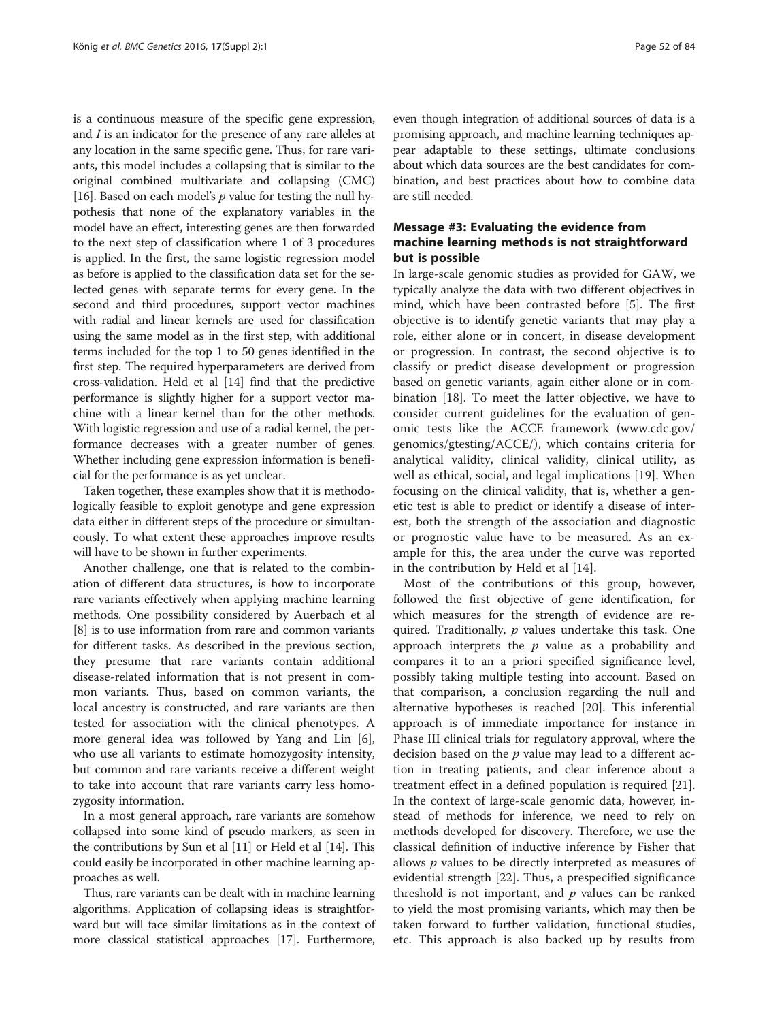is a continuous measure of the specific gene expression, and I is an indicator for the presence of any rare alleles at any location in the same specific gene. Thus, for rare variants, this model includes a collapsing that is similar to the original combined multivariate and collapsing (CMC) [[16](#page-6-0)]. Based on each model's  $p$  value for testing the null hypothesis that none of the explanatory variables in the model have an effect, interesting genes are then forwarded to the next step of classification where 1 of 3 procedures is applied. In the first, the same logistic regression model as before is applied to the classification data set for the selected genes with separate terms for every gene. In the second and third procedures, support vector machines with radial and linear kernels are used for classification using the same model as in the first step, with additional terms included for the top 1 to 50 genes identified in the first step. The required hyperparameters are derived from cross-validation. Held et al [\[14](#page-6-0)] find that the predictive performance is slightly higher for a support vector machine with a linear kernel than for the other methods. With logistic regression and use of a radial kernel, the performance decreases with a greater number of genes. Whether including gene expression information is beneficial for the performance is as yet unclear.

Taken together, these examples show that it is methodologically feasible to exploit genotype and gene expression data either in different steps of the procedure or simultaneously. To what extent these approaches improve results will have to be shown in further experiments.

Another challenge, one that is related to the combination of different data structures, is how to incorporate rare variants effectively when applying machine learning methods. One possibility considered by Auerbach et al [[8\]](#page-6-0) is to use information from rare and common variants for different tasks. As described in the previous section, they presume that rare variants contain additional disease-related information that is not present in common variants. Thus, based on common variants, the local ancestry is constructed, and rare variants are then tested for association with the clinical phenotypes. A more general idea was followed by Yang and Lin [\[6](#page-6-0)], who use all variants to estimate homozygosity intensity, but common and rare variants receive a different weight to take into account that rare variants carry less homozygosity information.

In a most general approach, rare variants are somehow collapsed into some kind of pseudo markers, as seen in the contributions by Sun et al [[11](#page-6-0)] or Held et al [\[14\]](#page-6-0). This could easily be incorporated in other machine learning approaches as well.

Thus, rare variants can be dealt with in machine learning algorithms. Application of collapsing ideas is straightforward but will face similar limitations as in the context of more classical statistical approaches [\[17\]](#page-6-0). Furthermore,

even though integration of additional sources of data is a promising approach, and machine learning techniques appear adaptable to these settings, ultimate conclusions about which data sources are the best candidates for combination, and best practices about how to combine data are still needed.

# Message #3: Evaluating the evidence from machine learning methods is not straightforward but is possible

In large-scale genomic studies as provided for GAW, we typically analyze the data with two different objectives in mind, which have been contrasted before [[5\]](#page-6-0). The first objective is to identify genetic variants that may play a role, either alone or in concert, in disease development or progression. In contrast, the second objective is to classify or predict disease development or progression based on genetic variants, again either alone or in combination [[18\]](#page-6-0). To meet the latter objective, we have to consider current guidelines for the evaluation of genomic tests like the ACCE framework ([www.cdc.gov/](http://www.cdc.gov/genomics/gtesting/ACCE/) [genomics/gtesting/ACCE/\)](http://www.cdc.gov/genomics/gtesting/ACCE/), which contains criteria for analytical validity, clinical validity, clinical utility, as well as ethical, social, and legal implications [[19\]](#page-6-0). When focusing on the clinical validity, that is, whether a genetic test is able to predict or identify a disease of interest, both the strength of the association and diagnostic or prognostic value have to be measured. As an example for this, the area under the curve was reported in the contribution by Held et al [[14\]](#page-6-0).

Most of the contributions of this group, however, followed the first objective of gene identification, for which measures for the strength of evidence are required. Traditionally,  $p$  values undertake this task. One approach interprets the  $p$  value as a probability and compares it to an a priori specified significance level, possibly taking multiple testing into account. Based on that comparison, a conclusion regarding the null and alternative hypotheses is reached [[20\]](#page-6-0). This inferential approach is of immediate importance for instance in Phase III clinical trials for regulatory approval, where the decision based on the  $p$  value may lead to a different action in treating patients, and clear inference about a treatment effect in a defined population is required [\[21](#page-6-0)]. In the context of large-scale genomic data, however, instead of methods for inference, we need to rely on methods developed for discovery. Therefore, we use the classical definition of inductive inference by Fisher that allows  $p$  values to be directly interpreted as measures of evidential strength [\[22\]](#page-6-0). Thus, a prespecified significance threshold is not important, and  $p$  values can be ranked to yield the most promising variants, which may then be taken forward to further validation, functional studies, etc. This approach is also backed up by results from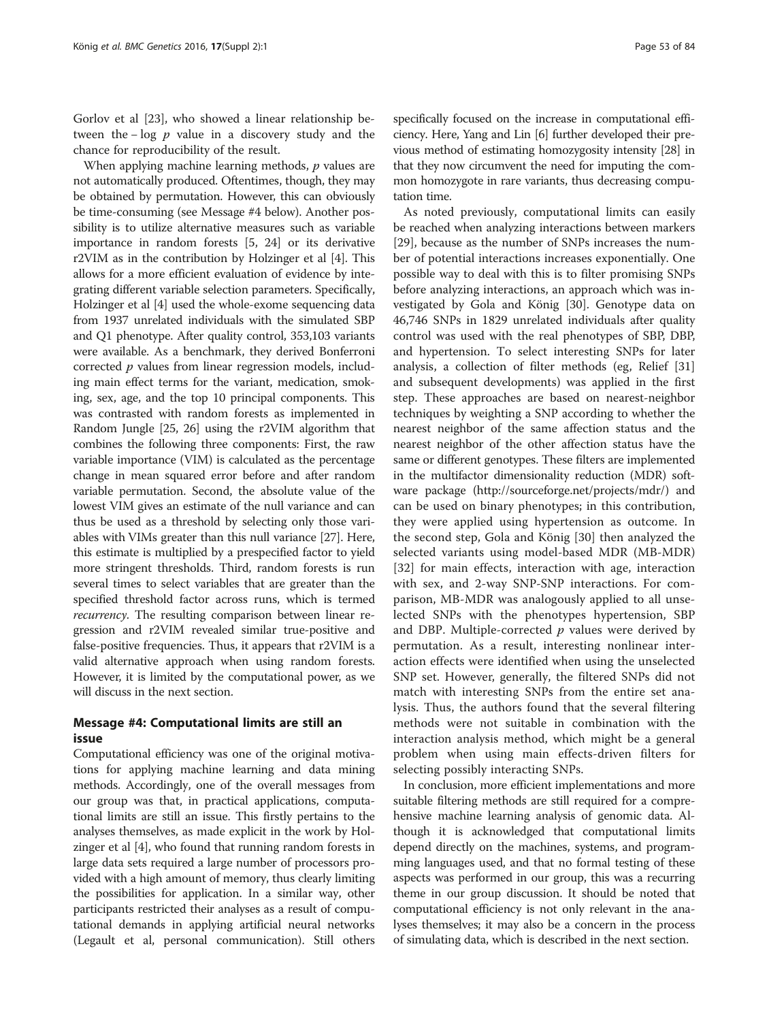Gorlov et al [[23](#page-6-0)], who showed a linear relationship between the −  $\log p$  value in a discovery study and the chance for reproducibility of the result.

When applying machine learning methods, p values are not automatically produced. Oftentimes, though, they may be obtained by permutation. However, this can obviously be time-consuming (see Message #4 below). Another possibility is to utilize alternative measures such as variable importance in random forests [[5, 24\]](#page-6-0) or its derivative r2VIM as in the contribution by Holzinger et al [\[4](#page-6-0)]. This allows for a more efficient evaluation of evidence by integrating different variable selection parameters. Specifically, Holzinger et al [\[4\]](#page-6-0) used the whole-exome sequencing data from 1937 unrelated individuals with the simulated SBP and Q1 phenotype. After quality control, 353,103 variants were available. As a benchmark, they derived Bonferroni corrected p values from linear regression models, including main effect terms for the variant, medication, smoking, sex, age, and the top 10 principal components. This was contrasted with random forests as implemented in Random Jungle [[25](#page-6-0), [26\]](#page-6-0) using the r2VIM algorithm that combines the following three components: First, the raw variable importance (VIM) is calculated as the percentage change in mean squared error before and after random variable permutation. Second, the absolute value of the lowest VIM gives an estimate of the null variance and can thus be used as a threshold by selecting only those variables with VIMs greater than this null variance [\[27\]](#page-6-0). Here, this estimate is multiplied by a prespecified factor to yield more stringent thresholds. Third, random forests is run several times to select variables that are greater than the specified threshold factor across runs, which is termed recurrency. The resulting comparison between linear regression and r2VIM revealed similar true-positive and false-positive frequencies. Thus, it appears that r2VIM is a valid alternative approach when using random forests. However, it is limited by the computational power, as we will discuss in the next section.

#### Message #4: Computational limits are still an issue

Computational efficiency was one of the original motivations for applying machine learning and data mining methods. Accordingly, one of the overall messages from our group was that, in practical applications, computational limits are still an issue. This firstly pertains to the analyses themselves, as made explicit in the work by Holzinger et al [\[4\]](#page-6-0), who found that running random forests in large data sets required a large number of processors provided with a high amount of memory, thus clearly limiting the possibilities for application. In a similar way, other participants restricted their analyses as a result of computational demands in applying artificial neural networks (Legault et al, personal communication). Still others specifically focused on the increase in computational efficiency. Here, Yang and Lin [\[6\]](#page-6-0) further developed their previous method of estimating homozygosity intensity [[28](#page-6-0)] in that they now circumvent the need for imputing the common homozygote in rare variants, thus decreasing computation time.

As noted previously, computational limits can easily be reached when analyzing interactions between markers [[29\]](#page-6-0), because as the number of SNPs increases the number of potential interactions increases exponentially. One possible way to deal with this is to filter promising SNPs before analyzing interactions, an approach which was investigated by Gola and König [\[30](#page--1-0)]. Genotype data on 46,746 SNPs in 1829 unrelated individuals after quality control was used with the real phenotypes of SBP, DBP, and hypertension. To select interesting SNPs for later analysis, a collection of filter methods (eg, Relief [[31](#page--1-0)] and subsequent developments) was applied in the first step. These approaches are based on nearest-neighbor techniques by weighting a SNP according to whether the nearest neighbor of the same affection status and the nearest neighbor of the other affection status have the same or different genotypes. These filters are implemented in the multifactor dimensionality reduction (MDR) software package [\(http://sourceforge.net/projects/mdr/](http://sourceforge.net/projects/mdr/)) and can be used on binary phenotypes; in this contribution, they were applied using hypertension as outcome. In the second step, Gola and König [[30](#page--1-0)] then analyzed the selected variants using model-based MDR (MB-MDR) [[32\]](#page--1-0) for main effects, interaction with age, interaction with sex, and 2-way SNP-SNP interactions. For comparison, MB-MDR was analogously applied to all unselected SNPs with the phenotypes hypertension, SBP and DBP. Multiple-corrected  $p$  values were derived by permutation. As a result, interesting nonlinear interaction effects were identified when using the unselected SNP set. However, generally, the filtered SNPs did not match with interesting SNPs from the entire set analysis. Thus, the authors found that the several filtering methods were not suitable in combination with the interaction analysis method, which might be a general problem when using main effects-driven filters for selecting possibly interacting SNPs.

In conclusion, more efficient implementations and more suitable filtering methods are still required for a comprehensive machine learning analysis of genomic data. Although it is acknowledged that computational limits depend directly on the machines, systems, and programming languages used, and that no formal testing of these aspects was performed in our group, this was a recurring theme in our group discussion. It should be noted that computational efficiency is not only relevant in the analyses themselves; it may also be a concern in the process of simulating data, which is described in the next section.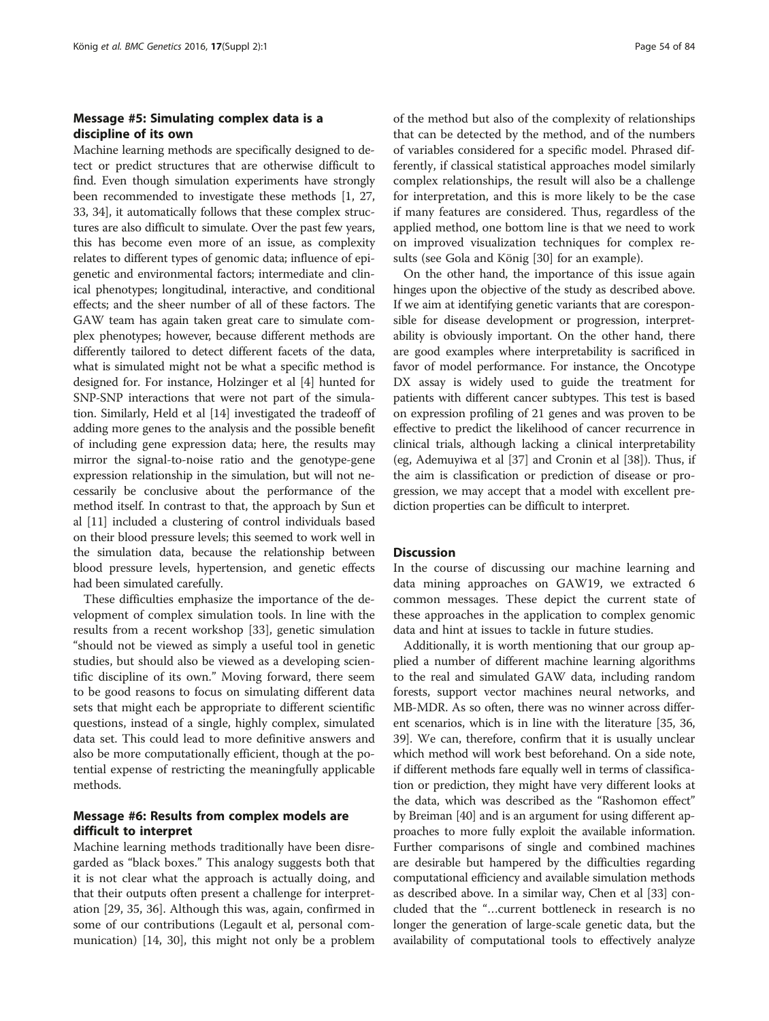# Message #5: Simulating complex data is a discipline of its own

Machine learning methods are specifically designed to detect or predict structures that are otherwise difficult to find. Even though simulation experiments have strongly been recommended to investigate these methods [[1](#page-6-0), [27](#page-6-0), [33](#page--1-0), [34](#page--1-0)], it automatically follows that these complex structures are also difficult to simulate. Over the past few years, this has become even more of an issue, as complexity relates to different types of genomic data; influence of epigenetic and environmental factors; intermediate and clinical phenotypes; longitudinal, interactive, and conditional effects; and the sheer number of all of these factors. The GAW team has again taken great care to simulate complex phenotypes; however, because different methods are differently tailored to detect different facets of the data, what is simulated might not be what a specific method is designed for. For instance, Holzinger et al [[4](#page-6-0)] hunted for SNP-SNP interactions that were not part of the simulation. Similarly, Held et al [\[14](#page-6-0)] investigated the tradeoff of adding more genes to the analysis and the possible benefit of including gene expression data; here, the results may mirror the signal-to-noise ratio and the genotype-gene expression relationship in the simulation, but will not necessarily be conclusive about the performance of the method itself. In contrast to that, the approach by Sun et al [\[11](#page-6-0)] included a clustering of control individuals based on their blood pressure levels; this seemed to work well in the simulation data, because the relationship between blood pressure levels, hypertension, and genetic effects had been simulated carefully.

These difficulties emphasize the importance of the development of complex simulation tools. In line with the results from a recent workshop [[33\]](#page--1-0), genetic simulation "should not be viewed as simply a useful tool in genetic studies, but should also be viewed as a developing scientific discipline of its own." Moving forward, there seem to be good reasons to focus on simulating different data sets that might each be appropriate to different scientific questions, instead of a single, highly complex, simulated data set. This could lead to more definitive answers and also be more computationally efficient, though at the potential expense of restricting the meaningfully applicable methods.

### Message #6: Results from complex models are difficult to interpret

Machine learning methods traditionally have been disregarded as "black boxes." This analogy suggests both that it is not clear what the approach is actually doing, and that their outputs often present a challenge for interpretation [[29](#page-6-0), [35](#page--1-0), [36](#page--1-0)]. Although this was, again, confirmed in some of our contributions (Legault et al, personal communication) [[14](#page-6-0), [30](#page--1-0)], this might not only be a problem of the method but also of the complexity of relationships that can be detected by the method, and of the numbers of variables considered for a specific model. Phrased differently, if classical statistical approaches model similarly complex relationships, the result will also be a challenge for interpretation, and this is more likely to be the case if many features are considered. Thus, regardless of the applied method, one bottom line is that we need to work on improved visualization techniques for complex results (see Gola and König [[30\]](#page--1-0) for an example).

On the other hand, the importance of this issue again hinges upon the objective of the study as described above. If we aim at identifying genetic variants that are coresponsible for disease development or progression, interpretability is obviously important. On the other hand, there are good examples where interpretability is sacrificed in favor of model performance. For instance, the Oncotype DX assay is widely used to guide the treatment for patients with different cancer subtypes. This test is based on expression profiling of 21 genes and was proven to be effective to predict the likelihood of cancer recurrence in clinical trials, although lacking a clinical interpretability (eg, Ademuyiwa et al [[37](#page--1-0)] and Cronin et al [\[38\]](#page--1-0)). Thus, if the aim is classification or prediction of disease or progression, we may accept that a model with excellent prediction properties can be difficult to interpret.

#### **Discussion**

In the course of discussing our machine learning and data mining approaches on GAW19, we extracted 6 common messages. These depict the current state of these approaches in the application to complex genomic data and hint at issues to tackle in future studies.

Additionally, it is worth mentioning that our group applied a number of different machine learning algorithms to the real and simulated GAW data, including random forests, support vector machines neural networks, and MB-MDR. As so often, there was no winner across different scenarios, which is in line with the literature [\[35](#page--1-0), [36](#page--1-0), [39](#page--1-0)]. We can, therefore, confirm that it is usually unclear which method will work best beforehand. On a side note, if different methods fare equally well in terms of classification or prediction, they might have very different looks at the data, which was described as the "Rashomon effect" by Breiman [\[40\]](#page--1-0) and is an argument for using different approaches to more fully exploit the available information. Further comparisons of single and combined machines are desirable but hampered by the difficulties regarding computational efficiency and available simulation methods as described above. In a similar way, Chen et al [\[33](#page--1-0)] concluded that the "…current bottleneck in research is no longer the generation of large-scale genetic data, but the availability of computational tools to effectively analyze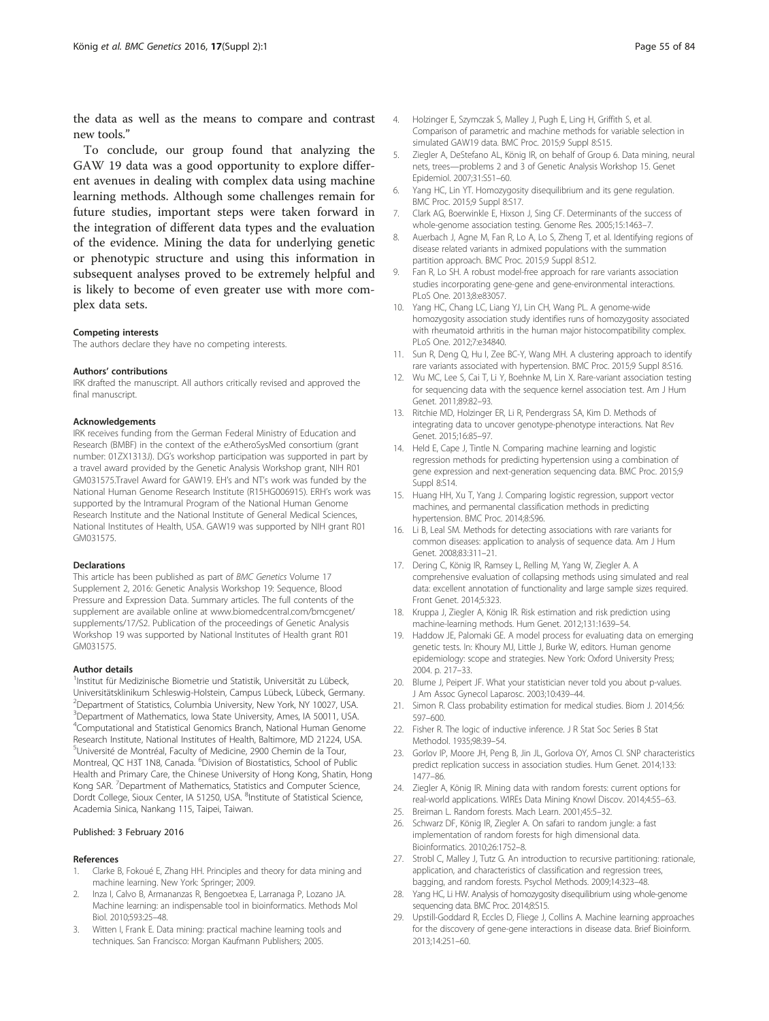<span id="page-6-0"></span>the data as well as the means to compare and contrast new tools."

To conclude, our group found that analyzing the GAW 19 data was a good opportunity to explore different avenues in dealing with complex data using machine learning methods. Although some challenges remain for future studies, important steps were taken forward in the integration of different data types and the evaluation of the evidence. Mining the data for underlying genetic or phenotypic structure and using this information in subsequent analyses proved to be extremely helpful and is likely to become of even greater use with more complex data sets.

#### Competing interests

The authors declare they have no competing interests.

#### Authors' contributions

IRK drafted the manuscript. All authors critically revised and approved the final manuscript.

#### Acknowledgements

IRK receives funding from the German Federal Ministry of Education and Research (BMBF) in the context of the e:AtheroSysMed consortium (grant number: 01ZX1313J). DG's workshop participation was supported in part by a travel award provided by the Genetic Analysis Workshop grant, NIH R01 GM031575.Travel Award for GAW19. EH's and NT's work was funded by the National Human Genome Research Institute (R15HG006915). ERH's work was supported by the Intramural Program of the National Human Genome Research Institute and the National Institute of General Medical Sciences, National Institutes of Health, USA. GAW19 was supported by NIH grant R01 GM031575.

#### Declarations

This article has been published as part of BMC Genetics Volume 17 Supplement 2, 2016: Genetic Analysis Workshop 19: Sequence, Blood Pressure and Expression Data. Summary articles. The full contents of the supplement are available online at www.biomedcentral.com/bmcgenet/ supplements/17/S2. Publication of the proceedings of Genetic Analysis Workshop 19 was supported by National Institutes of Health grant R01 GM031575.

#### Author details

<sup>1</sup>Institut für Medizinische Biometrie und Statistik, Universität zu Lübeck, Universitätsklinikum Schleswig-Holstein, Campus Lübeck, Lübeck, Germany. 2 Department of Statistics, Columbia University, New York, NY 10027, USA. <sup>3</sup>Department of Mathematics, Iowa State University, Ames, IA 50011, USA. 4 Computational and Statistical Genomics Branch, National Human Genome Research Institute, National Institutes of Health, Baltimore, MD 21224, USA. 5 Université de Montréal, Faculty of Medicine, 2900 Chemin de la Tour, Montreal, QC H3T 1N8, Canada. <sup>6</sup>Division of Biostatistics, School of Public Health and Primary Care, the Chinese University of Hong Kong, Shatin, Hong Kong SAR. <sup>7</sup>Department of Mathematics, Statistics and Computer Science, Dordt College, Sioux Center, IA 51250, USA. <sup>8</sup>Institute of Statistical Science, Academia Sinica, Nankang 115, Taipei, Taiwan.

#### Published: 3 February 2016

#### References

- 1. Clarke B, Fokoué E, Zhang HH. Principles and theory for data mining and machine learning. New York: Springer; 2009.
- 2. Inza I, Calvo B, Armananzas R, Bengoetxea E, Larranaga P, Lozano JA. Machine learning: an indispensable tool in bioinformatics. Methods Mol Biol. 2010;593:25–48.
- 3. Witten I, Frank E. Data mining: practical machine learning tools and techniques. San Francisco: Morgan Kaufmann Publishers; 2005.
- 4. Holzinger E, Szymczak S, Malley J, Pugh E, Ling H, Griffith S, et al. Comparison of parametric and machine methods for variable selection in simulated GAW19 data. BMC Proc. 2015;9 Suppl 8:S15.
- 5. Ziegler A, DeStefano AL, König IR, on behalf of Group 6. Data mining, neural nets, trees—problems 2 and 3 of Genetic Analysis Workshop 15. Genet Epidemiol. 2007;31:S51–60.
- 6. Yang HC, Lin YT. Homozygosity disequilibrium and its gene regulation. BMC Proc. 2015;9 Suppl 8:S17.
- 7. Clark AG, Boerwinkle E, Hixson J, Sing CF. Determinants of the success of whole-genome association testing. Genome Res. 2005;15:1463–7.
- 8. Auerbach J, Agne M, Fan R, Lo A, Lo S, Zheng T, et al. Identifying regions of disease related variants in admixed populations with the summation partition approach. BMC Proc. 2015;9 Suppl 8:S12.
- 9. Fan R, Lo SH. A robust model-free approach for rare variants association studies incorporating gene-gene and gene-environmental interactions. PLoS One. 2013;8:e83057.
- 10. Yang HC, Chang LC, Liang YJ, Lin CH, Wang PL. A genome-wide homozygosity association study identifies runs of homozygosity associated with rheumatoid arthritis in the human major histocompatibility complex. PLoS One. 2012;7:e34840.
- 11. Sun R, Deng Q, Hu I, Zee BC-Y, Wang MH. A clustering approach to identify rare variants associated with hypertension. BMC Proc. 2015;9 Suppl 8:S16.
- 12. Wu MC, Lee S, Cai T, Li Y, Boehnke M, Lin X. Rare-variant association testing for sequencing data with the sequence kernel association test. Am J Hum Genet. 2011;89:82–93.
- 13. Ritchie MD, Holzinger ER, Li R, Pendergrass SA, Kim D. Methods of integrating data to uncover genotype-phenotype interactions. Nat Rev Genet. 2015;16:85–97.
- 14. Held E, Cape J, Tintle N. Comparing machine learning and logistic regression methods for predicting hypertension using a combination of gene expression and next-generation sequencing data. BMC Proc. 2015;9 Suppl 8:S14.
- 15. Huang HH, Xu T, Yang J. Comparing logistic regression, support vector machines, and permanental classification methods in predicting hypertension. BMC Proc. 2014;8:S96.
- 16. Li B, Leal SM. Methods for detecting associations with rare variants for common diseases: application to analysis of sequence data. Am J Hum Genet. 2008;83:311–21.
- 17. Dering C, König IR, Ramsey L, Relling M, Yang W, Ziegler A. A comprehensive evaluation of collapsing methods using simulated and real data: excellent annotation of functionality and large sample sizes required. Front Genet. 2014;5:323.
- 18. Kruppa J, Ziegler A, König IR. Risk estimation and risk prediction using machine-learning methods. Hum Genet. 2012;131:1639–54.
- 19. Haddow JE, Palomaki GE. A model process for evaluating data on emerging genetic tests. In: Khoury MJ, Little J, Burke W, editors. Human genome epidemiology: scope and strategies. New York: Oxford University Press; 2004. p. 217–33.
- 20. Blume J, Peipert JF. What your statistician never told you about p-values. J Am Assoc Gynecol Laparosc. 2003;10:439–44.
- 21. Simon R. Class probability estimation for medical studies. Biom J. 2014;56: 597–600.
- 22. Fisher R. The logic of inductive inference. J R Stat Soc Series B Stat Methodol. 1935;98:39–54.
- 23. Gorlov IP, Moore JH, Peng B, Jin JL, Gorlova OY, Amos CI. SNP characteristics predict replication success in association studies. Hum Genet. 2014;133: 1477–86.
- 24. Ziegler A, König IR. Mining data with random forests: current options for real-world applications. WIREs Data Mining Knowl Discov. 2014;4:55–63.
- 25. Breiman L. Random forests. Mach Learn. 2001;45:5–32.
- 26. Schwarz DF, König IR, Ziegler A. On safari to random jungle: a fast implementation of random forests for high dimensional data. Bioinformatics. 2010;26:1752–8.
- 27. Strobl C, Malley J, Tutz G. An introduction to recursive partitioning: rationale, application, and characteristics of classification and regression trees, bagging, and random forests. Psychol Methods. 2009;14:323–48.
- 28. Yang HC, Li HW. Analysis of homozygosity disequilibrium using whole-genome sequencing data. BMC Proc. 2014;8:S15.
- 29. Upstill-Goddard R, Eccles D, Fliege J, Collins A. Machine learning approaches for the discovery of gene-gene interactions in disease data. Brief Bioinform. 2013;14:251–60.